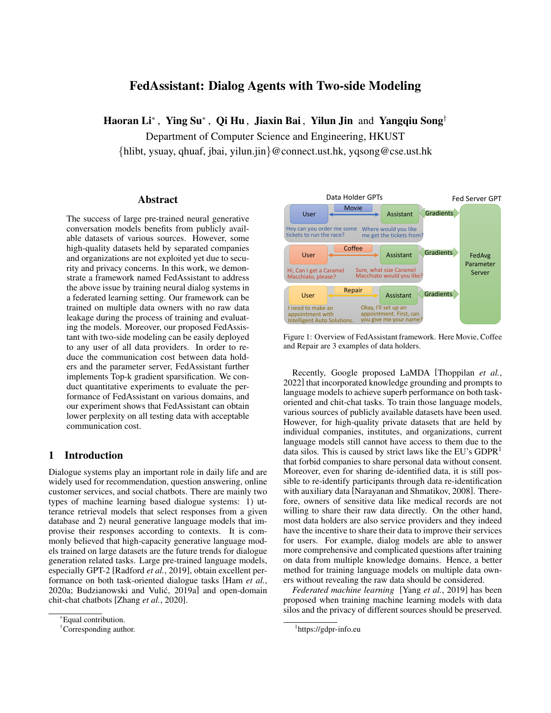# FedAssistant: Dialog Agents with Two-side Modeling

Haoran Li<sup>∗</sup>, Ying Su<sup>∗</sup>, Qi Hu, Jiaxin Bai, Yilun Jin and Yangqiu Song<sup>†</sup>

Department of Computer Science and Engineering, HKUST {hlibt, ysuay, qhuaf, jbai, yilun.jin}@connect.ust.hk, yqsong@cse.ust.hk

# Abstract

The success of large pre-trained neural generative conversation models benefits from publicly available datasets of various sources. However, some high-quality datasets held by separated companies and organizations are not exploited yet due to security and privacy concerns. In this work, we demonstrate a framework named FedAssistant to address the above issue by training neural dialog systems in a federated learning setting. Our framework can be trained on multiple data owners with no raw data leakage during the process of training and evaluating the models. Moreover, our proposed FedAssistant with two-side modeling can be easily deployed to any user of all data providers. In order to reduce the communication cost between data holders and the parameter server, FedAssistant further implements Top-k gradient sparsification. We conduct quantitative experiments to evaluate the performance of FedAssistant on various domains, and our experiment shows that FedAssistant can obtain lower perplexity on all testing data with acceptable communication cost.

# 1 Introduction

Dialogue systems play an important role in daily life and are widely used for recommendation, question answering, online customer services, and social chatbots. There are mainly two types of machine learning based dialogue systems: 1) utterance retrieval models that select responses from a given database and 2) neural generative language models that improvise their responses according to contexts. It is commonly believed that high-capacity generative language models trained on large datasets are the future trends for dialogue generation related tasks. Large pre-trained language models, especially GPT-2 [\[Radford](#page-7-0) *et al.*, 2019], obtain excellent performance on both task-oriented dialogue tasks [Ham *[et al.](#page-6-0)*, [2020a;](#page-6-0) Budzianowski and Vulić, 2019a] and open-domain chit-chat chatbots [\[Zhang](#page-7-1) *et al.*, 2020].

<span id="page-0-1"></span>

Figure 1: Overview of FedAssistant framework. Here Movie, Coffee and Repair are 3 examples of data holders.

Recently, Google proposed LaMDA [\[Thoppilan](#page-7-2) *et al.*, [2022\]](#page-7-2) that incorporated knowledge grounding and prompts to language models to achieve superb performance on both taskoriented and chit-chat tasks. To train those language models, various sources of publicly available datasets have been used. However, for high-quality private datasets that are held by individual companies, institutes, and organizations, current language models still cannot have access to them due to the data silos. This is caused by strict laws like the EU's  $GDPR<sup>1</sup>$  $GDPR<sup>1</sup>$  $GDPR<sup>1</sup>$ that forbid companies to share personal data without consent. Moreover, even for sharing de-identified data, it is still possible to re-identify participants through data re-identification with auxiliary data [\[Narayanan and Shmatikov, 2008\]](#page-7-3). Therefore, owners of sensitive data like medical records are not willing to share their raw data directly. On the other hand, most data holders are also service providers and they indeed have the incentive to share their data to improve their services for users. For example, dialog models are able to answer more comprehensive and complicated questions after training on data from multiple knowledge domains. Hence, a better method for training language models on multiple data owners without revealing the raw data should be considered.

*Federated machine learning* [Yang *et al.*[, 2019\]](#page-7-4) has been proposed when training machine learning models with data silos and the privacy of different sources should be preserved.

<sup>\*</sup>Equal contribution.

<sup>†</sup>Corresponding author.

<span id="page-0-0"></span><sup>1</sup> <https://gdpr-info.eu>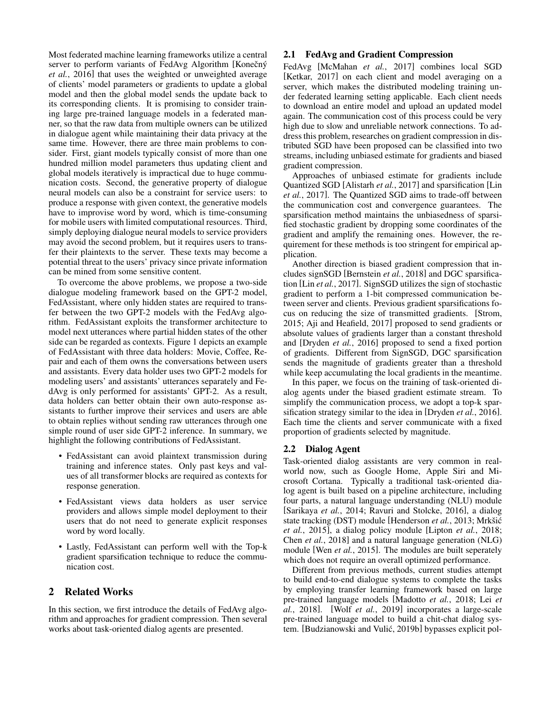Most federated machine learning frameworks utilize a central server to perform variants of FedAvg Algorithm [Konečný *et al.*[, 2016\]](#page-6-2) that uses the weighted or unweighted average of clients' model parameters or gradients to update a global model and then the global model sends the update back to its corresponding clients. It is promising to consider training large pre-trained language models in a federated manner, so that the raw data from multiple owners can be utilized in dialogue agent while maintaining their data privacy at the same time. However, there are three main problems to consider. First, giant models typically consist of more than one hundred million model parameters thus updating client and global models iteratively is impractical due to huge communication costs. Second, the generative property of dialogue neural models can also be a constraint for service users: to produce a response with given context, the generative models have to improvise word by word, which is time-consuming for mobile users with limited computational resources. Third, simply deploying dialogue neural models to service providers may avoid the second problem, but it requires users to transfer their plaintexts to the server. These texts may become a potential threat to the users' privacy since private information can be mined from some sensitive content.

To overcome the above problems, we propose a two-side dialogue modeling framework based on the GPT-2 model, FedAssistant, where only hidden states are required to transfer between the two GPT-2 models with the FedAvg algorithm. FedAssistant exploits the transformer architecture to model next utterances where partial hidden states of the other side can be regarded as contexts. Figure [1](#page-0-1) depicts an example of FedAssistant with three data holders: Movie, Coffee, Repair and each of them owns the conversations between users and assistants. Every data holder uses two GPT-2 models for modeling users' and assistants' utterances separately and FedAvg is only performed for assistants' GPT-2. As a result, data holders can better obtain their own auto-response assistants to further improve their services and users are able to obtain replies without sending raw utterances through one simple round of user side GPT-2 inference. In summary, we highlight the following contributions of FedAssistant.

- FedAssistant can avoid plaintext transmission during training and inference states. Only past keys and values of all transformer blocks are required as contexts for response generation.
- FedAssistant views data holders as user service providers and allows simple model deployment to their users that do not need to generate explicit responses word by word locally.
- Lastly, FedAssistant can perform well with the Top-k gradient sparsification technique to reduce the communication cost.

# 2 Related Works

In this section, we first introduce the details of FedAvg algorithm and approaches for gradient compression. Then several works about task-oriented dialog agents are presented.

### 2.1 FedAvg and Gradient Compression

FedAvg [\[McMahan](#page-6-3) *et al.*, 2017] combines local SGD [\[Ketkar, 2017\]](#page-6-4) on each client and model averaging on a server, which makes the distributed modeling training under federated learning setting applicable. Each client needs to download an entire model and upload an updated model again. The communication cost of this process could be very high due to slow and unreliable network connections. To address this problem, researches on gradient compression in distributed SGD have been proposed can be classified into two streams, including unbiased estimate for gradients and biased gradient compression.

Approaches of unbiased estimate for gradients include Quantized SGD [\[Alistarh](#page-6-5) *et al.*, 2017] and sparsification [\[Lin](#page-6-6) *et al.*[, 2017\]](#page-6-6). The Quantized SGD aims to trade-off between the communication cost and convergence guarantees. The sparsification method maintains the unbiasedness of sparsified stochastic gradient by dropping some coordinates of the gradient and amplify the remaining ones. However, the requirement for these methods is too stringent for empirical application.

Another direction is biased gradient compression that includes signSGD [\[Bernstein](#page-6-7) *et al.*, 2018] and DGC sparsification [Lin *et al.*[, 2017\]](#page-6-6). SignSGD utilizes the sign of stochastic gradient to perform a 1-bit compressed communication between server and clients. Previous gradient sparsifications focus on reducing the size of transmitted gradients. [\[Strom,](#page-7-5) [2015;](#page-7-5) [Aji and Heafield, 2017\]](#page-6-8) proposed to send gradients or absolute values of gradients larger than a constant threshold and [\[Dryden](#page-6-9) *et al.*, 2016] proposed to send a fixed portion of gradients. Different from SignSGD, DGC sparsification sends the magnitude of gradients greater than a threshold while keep accumulating the local gradients in the meantime.

In this paper, we focus on the training of task-oriented dialog agents under the biased gradient estimate stream. To simplify the communication process, we adopt a top-k sparsification strategy similar to the idea in [\[Dryden](#page-6-9) *et al.*, 2016]. Each time the clients and server communicate with a fixed proportion of gradients selected by magnitude.

# 2.2 Dialog Agent

Task-oriented dialog assistants are very common in realworld now, such as Google Home, Apple Siri and Microsoft Cortana. Typically a traditional task-oriented dialog agent is built based on a pipeline architecture, including four parts, a natural language understanding (NLU) module [\[Sarikaya](#page-7-6) *et al.*, 2014; [Ravuri and Stolcke, 2016\]](#page-7-7), a dialog state tracking (DST) module [\[Henderson](#page-6-10) *et al.*, 2013; Mrkšić *et al.*[, 2015\]](#page-6-11), a dialog policy module [\[Lipton](#page-6-12) *et al.*, 2018; Chen *et al.*[, 2018\]](#page-6-13) and a natural language generation (NLG) module [Wen *et al.*[, 2015\]](#page-7-8). The modules are built seperately which does not require an overall optimized performance.

Different from previous methods, current studies attempt to build end-to-end dialogue systems to complete the tasks by employing transfer learning framework based on large pre-trained language models [\[Madotto](#page-6-14) *et al.*, 2018; [Lei](#page-6-15) *et al.*[, 2018\]](#page-6-15). [Wolf *et al.*[, 2019\]](#page-7-9) incorporates a large-scale pre-trained language model to build a chit-chat dialog system. [Budzianowski and Vulić, 2019b] bypasses explicit pol-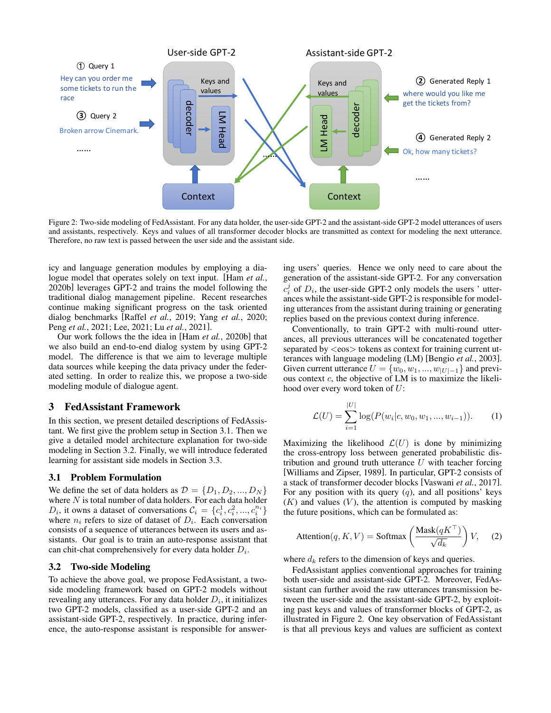<span id="page-2-2"></span>

Figure 2: Two-side modeling of FedAssistant. For any data holder, the user-side GPT-2 and the assistant-side GPT-2 model utterances of users and assistants, respectively. Keys and values of all transformer decoder blocks are transmitted as context for modeling the next utterance. Therefore, no raw text is passed between the user side and the assistant side.

icy and language generation modules by employing a dialogue model that operates solely on text input. [\[Ham](#page-6-17) *et al.*, [2020b\]](#page-6-17) leverages GPT-2 and trains the model following the traditional dialog management pipeline. Recent researches continue making significant progress on the task oriented dialog benchmarks [\[Raffel](#page-7-10) *et al.*, 2019; Yang *et al.*[, 2020;](#page-7-11) Peng *et al.*[, 2021;](#page-7-12) [Lee, 2021;](#page-6-18) Lu *et al.*[, 2021\]](#page-6-19).

Our work follows the the idea in [Ham *et al.*[, 2020b\]](#page-6-17) that we also build an end-to-end dialog system by using GPT-2 model. The difference is that we aim to leverage multiple data sources while keeping the data privacy under the federated setting. In order to realize this, we propose a two-side modeling module of dialogue agent.

# <span id="page-2-3"></span>3 FedAssistant Framework

In this section, we present detailed descriptions of FedAssistant. We first give the problem setup in Section [3.1.](#page-2-0) Then we give a detailed model architecture explanation for two-side modeling in Section [3.2.](#page-2-1) Finally, we will introduce federated learning for assistant side models in Section [3.3.](#page-3-0)

### <span id="page-2-0"></span>3.1 Problem Formulation

We define the set of data holders as  $\mathcal{D} = \{D_1, D_2, ..., D_N\}$ where  $N$  is total number of data holders. For each data holder  $D_i$ , it owns a dataset of conversations  $\mathcal{C}_i = \{c_i^1, c_i^2, ..., c_i^{n_i}\}\$ where  $n_i$  refers to size of dataset of  $D_i$ . Each conversation consists of a sequence of utterances between its users and assistants. Our goal is to train an auto-response assistant that can chit-chat comprehensively for every data holder  $D_i$ .

#### <span id="page-2-1"></span>3.2 Two-side Modeling

To achieve the above goal, we propose FedAssistant, a twoside modeling framework based on GPT-2 models without revealing any utterances. For any data holder  $D_i$ , it initializes two GPT-2 models, classified as a user-side GPT-2 and an assistant-side GPT-2, respectively. In practice, during inference, the auto-response assistant is responsible for answering users' queries. Hence we only need to care about the generation of the assistant-side GPT-2. For any conversation  $c_i^j$  of  $D_i$ , the user-side GPT-2 only models the users 'utterances while the assistant-side GPT-2 is responsible for modeling utterances from the assistant during training or generating replies based on the previous context during inference.

Conventionally, to train GPT-2 with multi-round utterances, all previous utterances will be concatenated together separated by  $\langle \cos \rangle$  tokens as context for training current utterances with language modeling (LM) [\[Bengio](#page-6-20) *et al.*, 2003]. Given current utterance  $U = \{w_0, w_1, ..., w_{|U|-1}\}\$  and previous context  $c$ , the objective of LM is to maximize the likelihood over every word token of U:

$$
\mathcal{L}(U) = \sum_{i=1}^{|U|} \log(P(w_i|c, w_0, w_1, ..., w_{i-1})).
$$
 (1)

Maximizing the likelihood  $\mathcal{L}(U)$  is done by minimizing the cross-entropy loss between generated probabilistic distribution and ground truth utterance  $U$  with teacher forcing [\[Williams and Zipser, 1989\]](#page-7-13). In particular, GPT-2 consists of a stack of transformer decoder blocks [\[Vaswani](#page-7-14) *et al.*, 2017]. For any position with its query  $(q)$ , and all positions' keys  $(K)$  and values  $(V)$ , the attention is computed by masking the future positions, which can be formulated as:

$$
Attention(q, K, V) = Softmax\left(\frac{Mask(qK^{\top})}{\sqrt{d_k}}\right) V, \quad (2)
$$

where  $d_k$  refers to the dimension of keys and queries.

FedAssistant applies conventional approaches for training both user-side and assistant-side GPT-2. Moreover, FedAssistant can further avoid the raw utterances transmission between the user-side and the assistant-side GPT-2, by exploiting past keys and values of transformer blocks of GPT-2, as illustrated in Figure [2.](#page-2-2) One key observation of FedAssistant is that all previous keys and values are sufficient as context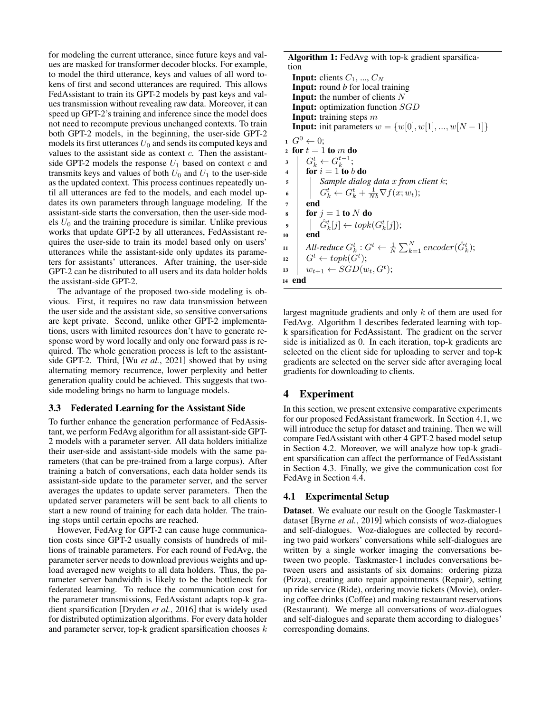for modeling the current utterance, since future keys and values are masked for transformer decoder blocks. For example, to model the third utterance, keys and values of all word tokens of first and second utterances are required. This allows FedAssistant to train its GPT-2 models by past keys and values transmission without revealing raw data. Moreover, it can speed up GPT-2's training and inference since the model does not need to recompute previous unchanged contexts. To train both GPT-2 models, in the beginning, the user-side GPT-2 models its first utterances  $U_0$  and sends its computed keys and values to the assistant side as context  $c$ . Then the assistantside GPT-2 models the response  $U_1$  based on context c and transmits keys and values of both  $U_0$  and  $U_1$  to the user-side as the updated context. This process continues repeatedly until all utterances are fed to the models, and each model updates its own parameters through language modeling. If the assistant-side starts the conversation, then the user-side models  $U_0$  and the training procedure is similar. Unlike previous works that update GPT-2 by all utterances, FedAssistant requires the user-side to train its model based only on users' utterances while the assistant-side only updates its parameters for assistants' utterances. After training, the user-side GPT-2 can be distributed to all users and its data holder holds the assistant-side GPT-2.

The advantage of the proposed two-side modeling is obvious. First, it requires no raw data transmission between the user side and the assistant side, so sensitive conversations are kept private. Second, unlike other GPT-2 implementations, users with limited resources don't have to generate response word by word locally and only one forward pass is required. The whole generation process is left to the assistantside GPT-2. Third, [Wu *et al.*[, 2021\]](#page-7-15) showed that by using alternating memory recurrence, lower perplexity and better generation quality could be achieved. This suggests that twoside modeling brings no harm to language models.

#### <span id="page-3-0"></span>3.3 Federated Learning for the Assistant Side

To further enhance the generation performance of FedAssistant, we perform FedAvg algorithm for all assistant-side GPT-2 models with a parameter server. All data holders initialize their user-side and assistant-side models with the same parameters (that can be pre-trained from a large corpus). After training a batch of conversations, each data holder sends its assistant-side update to the parameter server, and the server averages the updates to update server parameters. Then the updated server parameters will be sent back to all clients to start a new round of training for each data holder. The training stops until certain epochs are reached.

However, FedAvg for GPT-2 can cause huge communication costs since GPT-2 usually consists of hundreds of millions of trainable parameters. For each round of FedAvg, the parameter server needs to download previous weights and upload averaged new weights to all data holders. Thus, the parameter server bandwidth is likely to be the bottleneck for federated learning. To reduce the communication cost for the parameter transmissions, FedAssistant adapts top-k gradient sparsification [\[Dryden](#page-6-9) *et al.*, 2016] that is widely used for distributed optimization algorithms. For every data holder and parameter server, top-k gradient sparsification chooses  $k$ 

Algorithm 1: FedAvg with top-k gradient sparsification

**Input:** clients  $C_1$ , ...,  $C_N$ Input: round *b* for local training **Input:** the number of clients  $N$ **Input:** optimization function SGD **Input:** training steps  $m$ **Input:** init parameters  $w = \{w[0], w[1], ..., w[N-1]\}$  $G^0 \leftarrow 0$ : 2 for  $t = 1$  to  $m$  do  $3 \mid G_k^t \leftarrow G_k^{t-1};$ 4 for  $i = 1$  to b do <sup>5</sup> *Sample dialog data* x *from client* k; 6  $G_k^t \leftarrow G_k^t + \frac{1}{Nb} \nabla f(x; w_t);$  $7$  end  $\mathbf{s}$  for  $j = 1$  to N do  $\begin{array}{|c|c|c|}\hline \text{\textit{}} & \hat G_k^t[j] \leftarrow topk(G_k^t[j]); \hline \end{array}$ 10 end 11 *All-reduce*  $G_k^t : G^t \leftarrow \frac{1}{N} \sum_{k=1}^N encoder(\hat{G}_k^t);$ 12  $G^t \leftarrow topk(G^t);$ 13  $w_{t+1} \leftarrow SGD(w_t, G^t);$ <sup>14</sup> end

<span id="page-3-1"></span>largest magnitude gradients and only k of them are used for FedAvg. Algorithm [1](#page-3-1) describes federated learning with topk sparsification for FedAssistant. The gradient on the server side is initialized as 0. In each iteration, top-k gradients are selected on the client side for uploading to server and top-k gradients are selected on the server side after averaging local gradients for downloading to clients.

# 4 Experiment

In this section, we present extensive comparative experiments for our proposed FedAssistant framework. In Section [4.1,](#page-3-2) we will introduce the setup for dataset and training. Then we will compare FedAssistant with other 4 GPT-2 based model setup in Section [4.2.](#page-4-0) Moreover, we will analyze how top-k gradient sparsification can affect the performance of FedAssistant in Section [4.3.](#page-4-1) Finally, we give the communication cost for FedAvg in Section [4.4.](#page-5-0)

### <span id="page-3-2"></span>4.1 Experimental Setup

Dataset. We evaluate our result on the Google Taskmaster-1 dataset [Byrne *et al.*[, 2019\]](#page-6-21) which consists of woz-dialogues and self-dialogues. Woz-dialogues are collected by recording two paid workers' conversations while self-dialogues are written by a single worker imaging the conversations between two people. Taskmaster-1 includes conversations between users and assistants of six domains: ordering pizza (Pizza), creating auto repair appointments (Repair), setting up ride service (Ride), ordering movie tickets (Movie), ordering coffee drinks (Coffee) and making restaurant reservations (Restaurant). We merge all conversations of woz-dialogues and self-dialogues and separate them according to dialogues' corresponding domains.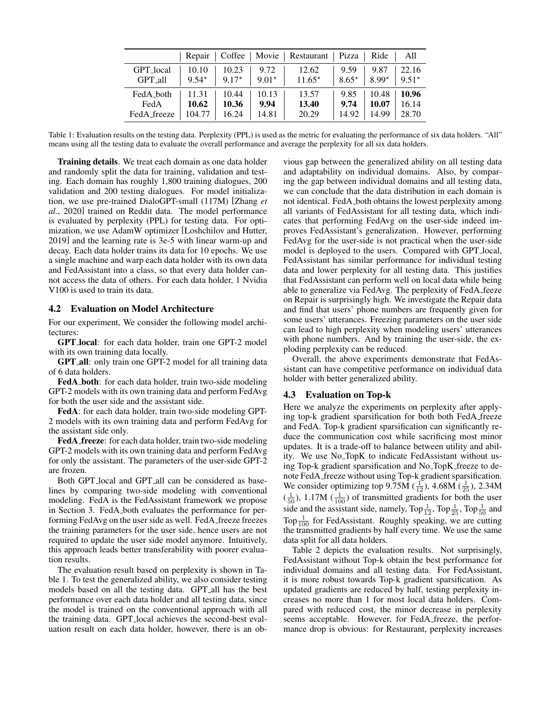<span id="page-4-2"></span>

|             | Repair  | $\vert$ Coffee $\vert$ |         | Movie   Restaurant   Pizza |         | Ride    | A11     |
|-------------|---------|------------------------|---------|----------------------------|---------|---------|---------|
| GPT_local   | 10.10   | 10.23                  | 9.72    | 12.62                      | 9.59    | 9.87    | 22.16   |
| GPT_all     | $9.54*$ | $9.17*$                | $9.01*$ | $11.65*$                   | $8.65*$ | $8.99*$ | $9.51*$ |
| FedA_both   | 11.31   | 10.44                  | 10.13   | 13.57                      | 9.85    | 10.48   | 10.96   |
| FedA        | 10.62   | 10.36                  | 9.94    | 13.40                      | 9.74    | 10.07   | 16.14   |
| FedA_freeze | 104.77  | 16.24                  | 14.81   | 20.29                      | 14.92   | 14.99   | 28.70   |

Table 1: Evaluation results on the testing data. Perplexity (PPL) is used as the metric for evaluating the performance of six data holders. "All" means using all the testing data to evaluate the overall performance and average the perplexity for all six data holders.

Training details. We treat each domain as one data holder and randomly split the data for training, validation and testing. Each domain has roughly 1,800 training dialogues, 200 validation and 200 testing dialogues. For model initialization, we use pre-trained DialoGPT-small (117M) [\[Zhang](#page-7-1) *et al.*[, 2020\]](#page-7-1) trained on Reddit data. The model performance is evaluated by perplexity (PPL) for testing data. For optimization, we use AdamW optimizer [\[Loshchilov and Hutter,](#page-6-22) [2019\]](#page-6-22) and the learning rate is 3e-5 with linear warm-up and decay. Each data holder trains its data for 10 epochs. We use a single machine and warp each data holder with its own data and FedAssistant into a class, so that every data holder cannot access the data of others. For each data holder, 1 Nvidia V100 is used to train its data.

#### <span id="page-4-0"></span>4.2 Evaluation on Model Architecture

For our experiment, We consider the following model architectures:

GPT local: for each data holder, train one GPT-2 model with its own training data locally.

GPT all: only train one GPT-2 model for all training data of 6 data holders.

FedA both: for each data holder, train two-side modeling GPT-2 models with its own training data and perform FedAvg for both the user side and the assistant side.

FedA: for each data holder, train two-side modeling GPT-2 models with its own training data and perform FedAvg for the assistant side only.

FedA freeze: for each data holder, train two-side modeling GPT-2 models with its own training data and perform FedAvg for only the assistant. The parameters of the user-side GPT-2 are frozen.

Both GPT<sub>-local</sub> and GPT<sub>-all</sub> can be considered as baselines by comparing two-side modeling with conventional modeling. FedA is the FedAssistant framework we propose in Section [3.](#page-2-3) FedA both evaluates the performance for performing FedAvg on the user side as well. FedA freeze freezes the training parameters for the user side, hence users are not required to update the user side model anymore. Intuitively, this approach leads better transferability with poorer evaluation results.

The evaluation result based on perplexity is shown in Table [1.](#page-4-2) To test the generalized ability, we also consider testing models based on all the testing data. GPT all has the best performance over each data holder and all testing data, since the model is trained on the conventional approach with all the training data. GPT local achieves the second-best evaluation result on each data holder, however, there is an obvious gap between the generalized ability on all testing data and adaptability on individual domains. Also, by comparing the gap between individual domains and all testing data, we can conclude that the data distribution in each domain is not identical. FedA both obtains the lowest perplexity among all variants of FedAssistant for all testing data, which indicates that performing FedAvg on the user-side indeed improves FedAssistant's generalization. However, performing FedAvg for the user-side is not practical when the user-side model is deployed to the users. Compared with GPT local, FedAssistant has similar performance for individual testing data and lower perplexity for all testing data. This justifies that FedAssistant can perform well on local data while being able to generalize via FedAvg. The perplexity of FedA feeze on Repair is surprisingly high. We investigate the Repair data and find that users' phone numbers are frequently given for some users' utterances. Freezing parameters on the user side can lead to high perplexity when modeling users' utterances with phone numbers. And by training the user-side, the exploding perplexity can be reduced.

Overall, the above experiments demonstrate that FedAssistant can have competitive performance on individual data holder with better generalized ability.

#### <span id="page-4-1"></span>4.3 Evaluation on Top-k

Here we analyze the experiments on perplexity after applying top-k gradient sparsification for both both FedA freeze and FedA. Top-k gradient sparsification can significantly reduce the communication cost while sacrificing most minor updates. It is a trade-off to balance between utility and ability. We use No TopK to indicate FedAssistant without using Top-k gradient sparsification and No TopK freeze to denote FedA freeze without using Top-k gradient sparsification. We consider optimizing top  $9.75M\left(\frac{1}{12}\right)$ ,  $4.68M\left(\frac{1}{25}\right)$ ,  $2.34M$  $(\frac{1}{50})$ , 1.17M  $(\frac{1}{100})$  of transmitted gradients for both the user side and the assistant side, namely,  $Top\frac{1}{12}$ ,  $Top\frac{1}{25}$ ,  $Top\frac{1}{50}$  and Top $\frac{1}{100}$  for FedAssistant. Roughly speaking, we are cutting the transmitted gradients by half every time. We use the same data split for all data holders.

Table [2](#page-5-1) depicts the evaluation results. Not surprisingly, FedAssistant without Top-k obtain the best performance for individual domains and all testing data. For FedAssistant, it is more robust towards Top-k gradient sparsification. As updated gradients are reduced by half, testing perplexity increases no more than 1 for most local data holders. Compared with reduced cost, the minor decrease in perplexity seems acceptable. However, for FedA freeze, the performance drop is obvious: for Restaurant, perplexity increases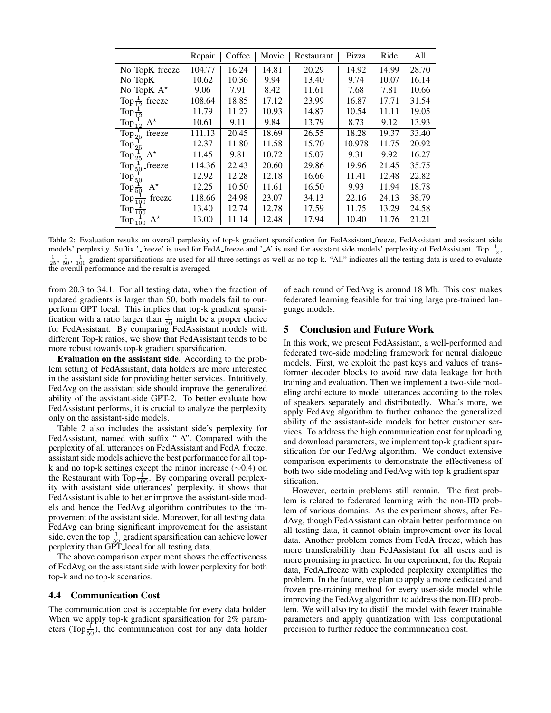<span id="page-5-1"></span>

|                                   | Repair | Coffee | Movie | Restaurant | Pizza  | Ride  | All   |
|-----------------------------------|--------|--------|-------|------------|--------|-------|-------|
| No <sub>-TopK</sub> -freeze       | 104.77 | 16.24  | 14.81 | 20.29      | 14.92  | 14.99 | 28.70 |
| $No\_{TopK}$                      | 10.62  | 10.36  | 9.94  | 13.40      | 9.74   | 10.07 | 16.14 |
| $No\_TopK.A*$                     | 9.06   | 7.91   | 8.42  | 11.61      | 7.68   | 7.81  | 10.66 |
| Top $\frac{1}{12}$ freeze         | 108.64 | 18.85  | 17.12 | 23.99      | 16.87  | 17.71 | 31.54 |
| Top $\frac{1}{12}$                | 11.79  | 11.27  | 10.93 | 14.87      | 10.54  | 11.11 | 19.05 |
| Top $\frac{1}{12}$ -A*            | 10.61  | 9.11   | 9.84  | 13.79      | 8.73   | 9.12  | 13.93 |
| Top $\frac{1}{25}$ freeze         | 111.13 | 20.45  | 18.69 | 26.55      | 18.28  | 19.37 | 33.40 |
| Top $\frac{1}{25}$                | 12.37  | 11.80  | 11.58 | 15.70      | 10.978 | 11.75 | 20.92 |
| Top $\frac{1}{25}A^*$             | 11.45  | 9.81   | 10.72 | 15.07      | 9.31   | 9.92  | 16.27 |
| Top $\frac{1}{50}$ freeze         | 114.36 | 22.43  | 20.60 | 29.86      | 19.96  | 21.45 | 35.75 |
| Top $\frac{1}{50}$                | 12.92  | 12.28  | 12.18 | 16.66      | 11.41  | 12.48 | 22.82 |
| $A^{\star}$<br>Top $\frac{1}{50}$ | 12.25  | 10.50  | 11.61 | 16.50      | 9.93   | 11.94 | 18.78 |
| Top $\frac{1}{100}$ freeze        | 118.66 | 24.98  | 23.07 | 34.13      | 22.16  | 24.13 | 38.79 |
| Top $\frac{1}{100}$               | 13.40  | 12.74  | 12.78 | 17.59      | 11.75  | 13.29 | 24.58 |
| Top $\frac{1}{100}A^*$            | 13.00  | 11.14  | 12.48 | 17.94      | 10.40  | 11.76 | 21.21 |

Table 2: Evaluation results on overall perplexity of top-k gradient sparsification for FedAssistant freeze, FedAssistant and assistant side models' perplexity. Suffix ' freeze' is used for FedA freeze and ' A' is used for assistant side models' perplexity of FedAssistant. Top  $\frac{1}{12}$ ,  $\frac{1}{25}$ ,  $\frac{1}{50}$ ,  $\frac{1}{100}$  gradient sparsifications are used for all three settings as well as no top-k. "All" indicates all the testing data is used to evaluate the overall performance and the result is averaged.

from 20.3 to 34.1. For all testing data, when the fraction of updated gradients is larger than 50, both models fail to outperform GPT local. This implies that top-k gradient sparsification with a ratio larger than  $\frac{1}{50}$  might be a proper choice for FedAssistant. By comparing FedAssistant models with different Top-k ratios, we show that FedAssistant tends to be more robust towards top-k gradient sparsification.

Evaluation on the assistant side. According to the problem setting of FedAssistant, data holders are more interested in the assistant side for providing better services. Intuitively, FedAvg on the assistant side should improve the generalized ability of the assistant-side GPT-2. To better evaluate how FedAssistant performs, it is crucial to analyze the perplexity only on the assistant-side models.

Table [2](#page-5-1) also includes the assistant side's perplexity for FedAssistant, named with suffix "\_A". Compared with the perplexity of all utterances on FedAssistant and FedA freeze, assistant side models achieve the best performance for all topk and no top-k settings except the minor increase (∼0.4) on the Restaurant with  $Top_{100}^{-1}$ . By comparing overall perplexity with assistant side utterances' perplexity, it shows that FedAssistant is able to better improve the assistant-side models and hence the FedAvg algorithm contributes to the improvement of the assistant side. Moreover, for all testing data, FedAvg can bring significant improvement for the assistant side, even the top  $\frac{1}{50}$  gradient sparsification can achieve lower perplexity than GPT local for all testing data.

The above comparison experiment shows the effectiveness of FedAvg on the assistant side with lower perplexity for both top-k and no top-k scenarios.

#### <span id="page-5-0"></span>4.4 Communication Cost

The communication cost is acceptable for every data holder. When we apply top-k gradient sparsification for 2% parameters (Top $\frac{1}{50}$ ), the communication cost for any data holder of each round of FedAvg is around 18 Mb. This cost makes federated learning feasible for training large pre-trained language models.

# 5 Conclusion and Future Work

In this work, we present FedAssistant, a well-performed and federated two-side modeling framework for neural dialogue models. First, we exploit the past keys and values of transformer decoder blocks to avoid raw data leakage for both training and evaluation. Then we implement a two-side modeling architecture to model utterances according to the roles of speakers separately and distributedly. What's more, we apply FedAvg algorithm to further enhance the generalized ability of the assistant-side models for better customer services. To address the high communication cost for uploading and download parameters, we implement top-k gradient sparsification for our FedAvg algorithm. We conduct extensive comparison experiments to demonstrate the effectiveness of both two-side modeling and FedAvg with top-k gradient sparsification.

However, certain problems still remain. The first problem is related to federated learning with the non-IID problem of various domains. As the experiment shows, after FedAvg, though FedAssistant can obtain better performance on all testing data, it cannot obtain improvement over its local data. Another problem comes from FedA freeze, which has more transferability than FedAssistant for all users and is more promising in practice. In our experiment, for the Repair data, FedA freeze with exploded perplexity exemplifies the problem. In the future, we plan to apply a more dedicated and frozen pre-training method for every user-side model while improving the FedAvg algorithm to address the non-IID problem. We will also try to distill the model with fewer trainable parameters and apply quantization with less computational precision to further reduce the communication cost.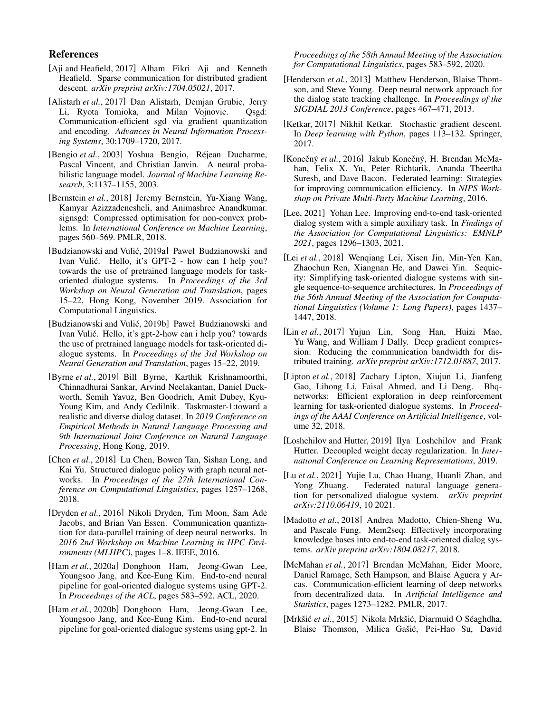# References

- <span id="page-6-8"></span>[Aji and Heafield, 2017] Alham Fikri Aji and Kenneth Heafield. Sparse communication for distributed gradient descent. *arXiv preprint arXiv:1704.05021*, 2017.
- <span id="page-6-5"></span>[Alistarh *et al.*, 2017] Dan Alistarh, Demjan Grubic, Jerry Li, Ryota Tomioka, and Milan Vojnovic. Qsgd: Communication-efficient sgd via gradient quantization and encoding. *Advances in Neural Information Processing Systems*, 30:1709–1720, 2017.
- <span id="page-6-20"></span>[Bengio *et al.*, 2003] Yoshua Bengio, Réjean Ducharme, Pascal Vincent, and Christian Janvin. A neural probabilistic language model. *Journal of Machine Learning Research*, 3:1137–1155, 2003.
- <span id="page-6-7"></span>[Bernstein *et al.*, 2018] Jeremy Bernstein, Yu-Xiang Wang, Kamyar Azizzadenesheli, and Animashree Anandkumar. signsgd: Compressed optimisation for non-convex problems. In *International Conference on Machine Learning*, pages 560–569. PMLR, 2018.
- <span id="page-6-1"></span>[Budzianowski and Vulić, 2019a] Paweł Budzianowski and Ivan Vulic. Hello, it's GPT-2 - how can I help you? ´ towards the use of pretrained language models for taskoriented dialogue systems. In *Proceedings of the 3rd Workshop on Neural Generation and Translation*, pages 15–22, Hong Kong, November 2019. Association for Computational Linguistics.
- <span id="page-6-16"></span>[Budzianowski and Vulić, 2019b] Paweł Budzianowski and Ivan Vulic. Hello, it's gpt-2-how can i help you? towards ´ the use of pretrained language models for task-oriented dialogue systems. In *Proceedings of the 3rd Workshop on Neural Generation and Translation*, pages 15–22, 2019.
- <span id="page-6-21"></span>[Byrne *et al.*, 2019] Bill Byrne, Karthik Krishnamoorthi, Chinnadhurai Sankar, Arvind Neelakantan, Daniel Duckworth, Semih Yavuz, Ben Goodrich, Amit Dubey, Kyu-Young Kim, and Andy Cedilnik. Taskmaster-1:toward a realistic and diverse dialog dataset. In *2019 Conference on Empirical Methods in Natural Language Processing and 9th International Joint Conference on Natural Language Processing*, Hong Kong, 2019.
- <span id="page-6-13"></span>[Chen *et al.*, 2018] Lu Chen, Bowen Tan, Sishan Long, and Kai Yu. Structured dialogue policy with graph neural networks. In *Proceedings of the 27th International Conference on Computational Linguistics*, pages 1257–1268, 2018.
- <span id="page-6-9"></span>[Dryden *et al.*, 2016] Nikoli Dryden, Tim Moon, Sam Ade Jacobs, and Brian Van Essen. Communication quantization for data-parallel training of deep neural networks. In *2016 2nd Workshop on Machine Learning in HPC Environments (MLHPC)*, pages 1–8. IEEE, 2016.
- <span id="page-6-0"></span>[Ham et al., 2020a] Donghoon Ham, Jeong-Gwan Lee, Youngsoo Jang, and Kee-Eung Kim. End-to-end neural pipeline for goal-oriented dialogue systems using GPT-2. In *Proceedings of the ACL*, pages 583–592. ACL, 2020.
- <span id="page-6-17"></span>[Ham *et al.*, 2020b] Donghoon Ham, Jeong-Gwan Lee, Youngsoo Jang, and Kee-Eung Kim. End-to-end neural pipeline for goal-oriented dialogue systems using gpt-2. In

*Proceedings of the 58th Annual Meeting of the Association for Computational Linguistics*, pages 583–592, 2020.

- <span id="page-6-10"></span>[Henderson et al., 2013] Matthew Henderson, Blaise Thomson, and Steve Young. Deep neural network approach for the dialog state tracking challenge. In *Proceedings of the SIGDIAL 2013 Conference*, pages 467–471, 2013.
- <span id="page-6-4"></span>[Ketkar, 2017] Nikhil Ketkar. Stochastic gradient descent. In *Deep learning with Python*, pages 113–132. Springer, 2017.
- <span id="page-6-2"></span>[Konečný et al., 2016] Jakub Konečný, H. Brendan McMahan, Felix X. Yu, Peter Richtarik, Ananda Theertha Suresh, and Dave Bacon. Federated learning: Strategies for improving communication efficiency. In *NIPS Workshop on Private Multi-Party Machine Learning*, 2016.
- <span id="page-6-18"></span>[Lee, 2021] Yohan Lee. Improving end-to-end task-oriented dialog system with a simple auxiliary task. In *Findings of the Association for Computational Linguistics: EMNLP 2021*, pages 1296–1303, 2021.
- <span id="page-6-15"></span>[Lei *et al.*, 2018] Wenqiang Lei, Xisen Jin, Min-Yen Kan, Zhaochun Ren, Xiangnan He, and Dawei Yin. Sequicity: Simplifying task-oriented dialogue systems with single sequence-to-sequence architectures. In *Proceedings of the 56th Annual Meeting of the Association for Computational Linguistics (Volume 1: Long Papers)*, pages 1437– 1447, 2018.
- <span id="page-6-6"></span>[Lin *et al.*, 2017] Yujun Lin, Song Han, Huizi Mao, Yu Wang, and William J Dally. Deep gradient compression: Reducing the communication bandwidth for distributed training. *arXiv preprint arXiv:1712.01887*, 2017.
- <span id="page-6-12"></span>[Lipton et al., 2018] Zachary Lipton, Xiujun Li, Jianfeng Gao, Lihong Li, Faisal Ahmed, and Li Deng. Bbqnetworks: Efficient exploration in deep reinforcement learning for task-oriented dialogue systems. In *Proceedings of the AAAI Conference on Artificial Intelligence*, volume 32, 2018.
- <span id="page-6-22"></span>[Loshchilov and Hutter, 2019] Ilya Loshchilov and Frank Hutter. Decoupled weight decay regularization. In *International Conference on Learning Representations*, 2019.
- <span id="page-6-19"></span>[Lu et al., 2021] Yujie Lu, Chao Huang, Huanli Zhan, and Yong Zhuang. Federated natural language generation for personalized dialogue system. *arXiv preprint arXiv:2110.06419*, 10 2021.
- <span id="page-6-14"></span>[Madotto *et al.*, 2018] Andrea Madotto, Chien-Sheng Wu, and Pascale Fung. Mem2seq: Effectively incorporating knowledge bases into end-to-end task-oriented dialog systems. *arXiv preprint arXiv:1804.08217*, 2018.
- <span id="page-6-3"></span>[McMahan *et al.*, 2017] Brendan McMahan, Eider Moore, Daniel Ramage, Seth Hampson, and Blaise Aguera y Arcas. Communication-efficient learning of deep networks from decentralized data. In *Artificial Intelligence and Statistics*, pages 1273–1282. PMLR, 2017.
- <span id="page-6-11"></span>[Mrkšić et al., 2015] Nikola Mrkšić, Diarmuid O Séaghdha, Blaise Thomson, Milica Gašić, Pei-Hao Su, David